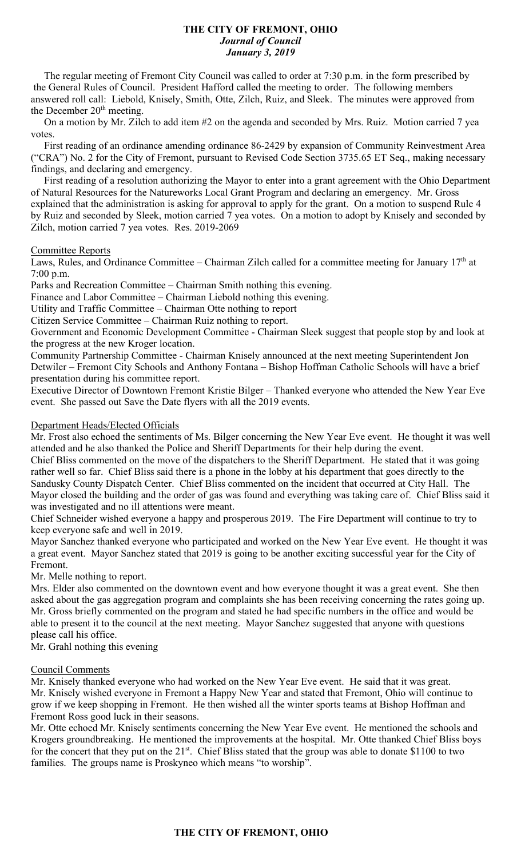#### **THE CITY OF FREMONT, OHIO** *Journal of Council January 3, 2019*

 The regular meeting of Fremont City Council was called to order at 7:30 p.m. in the form prescribed by the General Rules of Council. President Hafford called the meeting to order. The following members answered roll call: Liebold, Knisely, Smith, Otte, Zilch, Ruiz, and Sleek. The minutes were approved from the December  $20<sup>th</sup>$  meeting.

 On a motion by Mr. Zilch to add item #2 on the agenda and seconded by Mrs. Ruiz. Motion carried 7 yea votes.

 First reading of an ordinance amending ordinance 86-2429 by expansion of Community Reinvestment Area ("CRA") No. 2 for the City of Fremont, pursuant to Revised Code Section 3735.65 ET Seq., making necessary findings, and declaring and emergency.

 First reading of a resolution authorizing the Mayor to enter into a grant agreement with the Ohio Department of Natural Resources for the Natureworks Local Grant Program and declaring an emergency. Mr. Gross explained that the administration is asking for approval to apply for the grant. On a motion to suspend Rule 4 by Ruiz and seconded by Sleek, motion carried 7 yea votes. On a motion to adopt by Knisely and seconded by Zilch, motion carried 7 yea votes. Res. 2019-2069

### Committee Reports

Laws, Rules, and Ordinance Committee – Chairman Zilch called for a committee meeting for January 17<sup>th</sup> at 7:00 p.m.

Parks and Recreation Committee – Chairman Smith nothing this evening.

Finance and Labor Committee – Chairman Liebold nothing this evening.

Utility and Traffic Committee – Chairman Otte nothing to report

Citizen Service Committee – Chairman Ruiz nothing to report.

Government and Economic Development Committee - Chairman Sleek suggest that people stop by and look at the progress at the new Kroger location.

Community Partnership Committee - Chairman Knisely announced at the next meeting Superintendent Jon Detwiler – Fremont City Schools and Anthony Fontana – Bishop Hoffman Catholic Schools will have a brief presentation during his committee report.

Executive Director of Downtown Fremont Kristie Bilger – Thanked everyone who attended the New Year Eve event. She passed out Save the Date flyers with all the 2019 events.

# Department Heads/Elected Officials

Mr. Frost also echoed the sentiments of Ms. Bilger concerning the New Year Eve event. He thought it was well attended and he also thanked the Police and Sheriff Departments for their help during the event. Chief Bliss commented on the move of the dispatchers to the Sheriff Department. He stated that it was going

rather well so far. Chief Bliss said there is a phone in the lobby at his department that goes directly to the Sandusky County Dispatch Center. Chief Bliss commented on the incident that occurred at City Hall. The Mayor closed the building and the order of gas was found and everything was taking care of. Chief Bliss said it was investigated and no ill attentions were meant.

Chief Schneider wished everyone a happy and prosperous 2019. The Fire Department will continue to try to keep everyone safe and well in 2019.

Mayor Sanchez thanked everyone who participated and worked on the New Year Eve event. He thought it was a great event. Mayor Sanchez stated that 2019 is going to be another exciting successful year for the City of Fremont.

Mr. Melle nothing to report.

Mrs. Elder also commented on the downtown event and how everyone thought it was a great event. She then asked about the gas aggregation program and complaints she has been receiving concerning the rates going up. Mr. Gross briefly commented on the program and stated he had specific numbers in the office and would be able to present it to the council at the next meeting. Mayor Sanchez suggested that anyone with questions please call his office.

Mr. Grahl nothing this evening

### Council Comments

Mr. Knisely thanked everyone who had worked on the New Year Eve event. He said that it was great. Mr. Knisely wished everyone in Fremont a Happy New Year and stated that Fremont, Ohio will continue to grow if we keep shopping in Fremont. He then wished all the winter sports teams at Bishop Hoffman and Fremont Ross good luck in their seasons.

Mr. Otte echoed Mr. Knisely sentiments concerning the New Year Eve event. He mentioned the schools and Krogers groundbreaking. He mentioned the improvements at the hospital. Mr. Otte thanked Chief Bliss boys for the concert that they put on the  $21^{st}$ . Chief Bliss stated that the group was able to donate \$1100 to two families. The groups name is Proskyneo which means "to worship".